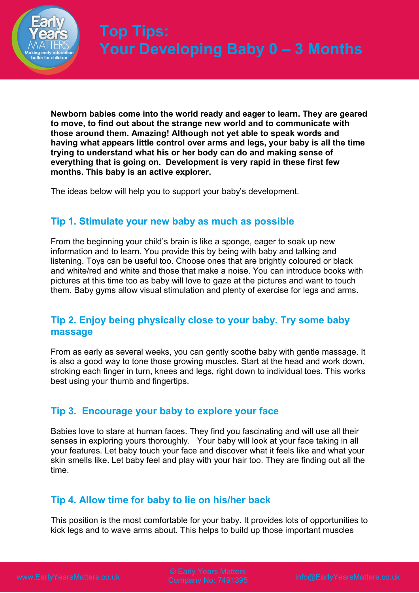

**Newborn babies come into the world ready and eager to learn. They are geared to move, to find out about the strange new world and to communicate with those around them. Amazing! Although not yet able to speak words and having what appears little control over arms and legs, your baby is all the time trying to understand what his or her body can do and making sense of everything that is going on. Development is very rapid in these first few months. This baby is an active explorer.** 

The ideas below will help you to support your baby's development.

# **Tip 1. Stimulate your new baby as much as possible**

From the beginning your child's brain is like a sponge, eager to soak up new information and to learn. You provide this by being with baby and talking and listening. Toys can be useful too. Choose ones that are brightly coloured or black and white/red and white and those that make a noise. You can introduce books with pictures at this time too as baby will love to gaze at the pictures and want to touch them. Baby gyms allow visual stimulation and plenty of exercise for legs and arms.

## **Tip 2. Enjoy being physically close to your baby. Try some baby massage**

From as early as several weeks, you can gently soothe baby with gentle massage. It is also a good way to tone those growing muscles. Start at the head and work down, stroking each finger in turn, knees and legs, right down to individual toes. This works best using your thumb and fingertips.

# **Tip 3. Encourage your baby to explore your face**

Babies love to stare at human faces. They find you fascinating and will use all their senses in exploring yours thoroughly. Your baby will look at your face taking in all your features. Let baby touch your face and discover what it feels like and what your skin smells like. Let baby feel and play with your hair too. They are finding out all the time.

# **Tip 4. Allow time for baby to lie on his/her back**

This position is the most comfortable for your baby. It provides lots of opportunities to kick legs and to wave arms about. This helps to build up those important muscles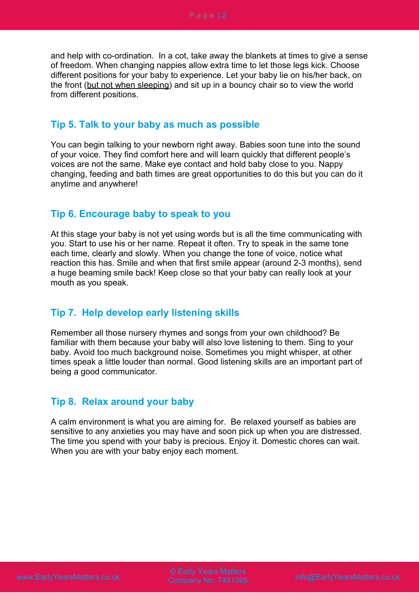and help with co-ordination. In a cot, take away the blankets at times to give a sense of freedom. When changing nappies allow extra time to let those legs kick. Choose different positions for your baby to experience. Let your baby lie on his/her back, on the front (but not when sleeping) and sit up in a bouncy chair so to view the world from different positions.

### **Tip 5. Talk to your baby as much as possible**

You can begin talking to your newborn right away. Babies soon tune into the sound of your voice. They find comfort here and will learn quickly that different people's voices are not the same. Make eye contact and hold baby close to you. Nappy changing, feeding and bath times are great opportunities to do this but you can do it anytime and anywhere!

#### **Tip 6. Encourage baby to speak to you**

At this stage your baby is not yet using words but is all the time communicating with you. Start to use his or her name. Repeat it often. Try to speak in the same tone each time, clearly and slowly. When you change the tone of voice, notice what reaction this has. Smile and when that first smile appear (around 2-3 months), send a huge beaming smile back! Keep close so that your baby can really look at your mouth as you speak.

### **Tip 7. Help develop early listening skills**

Remember all those nursery rhymes and songs from your own childhood? Be familiar with them because your baby will also love listening to them. Sing to your baby. Avoid too much background noise. Sometimes you might whisper, at other times speak a little louder than normal. Good listening skills are an important part of being a good communicator.

### **Tip 8. Relax around your baby**

A calm environment is what you are aiming for. Be relaxed yourself as babies are sensitive to any anxieties you may have and soon pick up when you are distressed. The time you spend with your baby is precious. Enjoy it. Domestic chores can wait. When you are with your baby enjoy each moment.